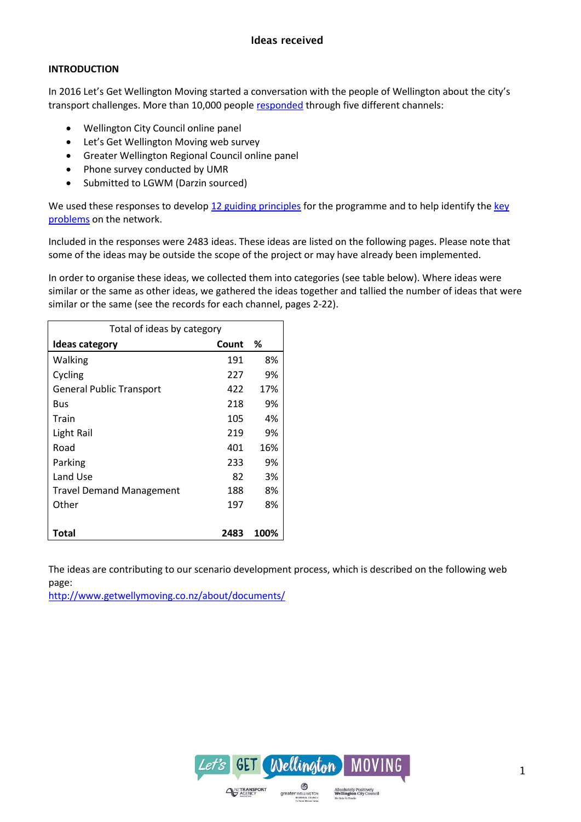#### **INTRODUCTION**

In 2016 Let's Get Wellington Moving started a conversation with the people of Wellington about the city's transport challenges. More than 10,000 people [responded](http://www.getwellymoving.co.nz/what-you-think/#Engagement) through five different channels:

- Wellington City Council online panel
- Let's Get Wellington Moving web survey
- Greater Wellington Regional Council online panel
- Phone survey conducted by UMR
- Submitted to LGWM (Darzin sourced)

We used these responses to develop [12 guiding principles](http://www.getwellymoving.co.nz/principles/) for the programme and to help identify the key [problems](http://www.getwellymoving.co.nz/the-problem/) on the network.

Included in the responses were 2483 ideas. These ideas are listed on the following pages. Please note that some of the ideas may be outside the scope of the project or may have already been implemented.

In order to organise these ideas, we collected them into categories (see table below). Where ideas were similar or the same as other ideas, we gathered the ideas together and tallied the number of ideas that were similar or the same (see the records for each channel, pages 2-22).

| Total of ideas by category      |       |      |
|---------------------------------|-------|------|
| <b>Ideas category</b>           | Count | %    |
| Walking                         | 191   | 8%   |
| Cycling                         | 227   | 9%   |
| <b>General Public Transport</b> | 422   | 17%  |
| <b>Bus</b>                      | 218   | 9%   |
| Train                           | 105   | 4%   |
| Light Rail                      | 219   | 9%   |
| Road                            | 401   | 16%  |
| Parking                         | 233   | 9%   |
| Land Use                        | 82    | 3%   |
| <b>Travel Demand Management</b> | 188   | 8%   |
| Other                           | 197   | 8%   |
|                                 |       |      |
| Total                           | 2483  | 100% |

The ideas are contributing to our scenario development process, which is described on the following web page:

<http://www.getwellymoving.co.nz/about/documents/>

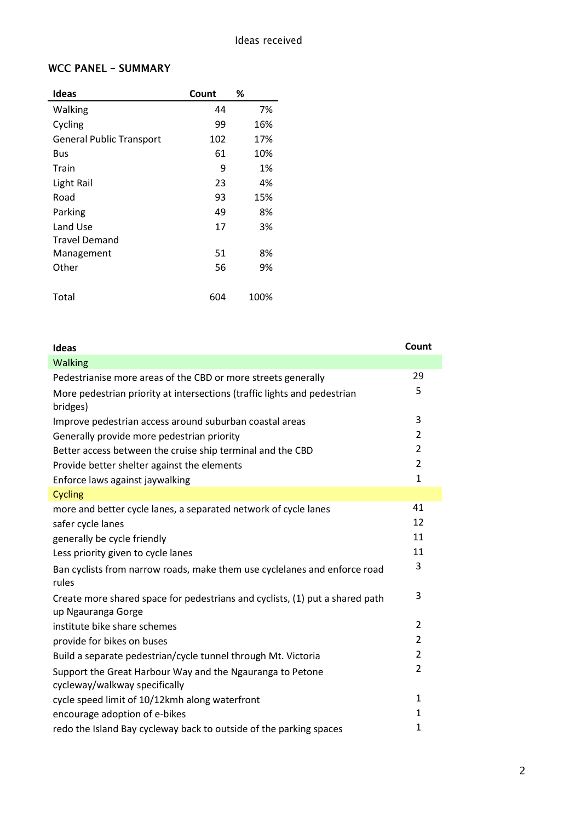## **WCC PANEL - SUMMARY**

| Ideas                           | Count | ℅    |
|---------------------------------|-------|------|
| Walking                         | 44    | 7%   |
| Cycling                         | 99    | 16%  |
| <b>General Public Transport</b> | 102   | 17%  |
| Bus                             | 61    | 10%  |
| Train                           | 9     | 1%   |
| Light Rail                      | 23    | 4%   |
| Road                            | 93    | 15%  |
| Parking                         | 49    | 8%   |
| Land Use                        | 17    | 3%   |
| <b>Travel Demand</b>            |       |      |
| Management                      | 51    | 8%   |
| Other                           | 56    | 9%   |
| Total                           | 604   | 100% |

| Ideas                                                                                              | Count          |
|----------------------------------------------------------------------------------------------------|----------------|
| Walking                                                                                            |                |
| Pedestrianise more areas of the CBD or more streets generally                                      | 29             |
| More pedestrian priority at intersections (traffic lights and pedestrian<br>bridges)               | 5              |
| Improve pedestrian access around suburban coastal areas                                            | 3              |
| Generally provide more pedestrian priority                                                         | $\overline{2}$ |
| Better access between the cruise ship terminal and the CBD                                         | 2              |
| Provide better shelter against the elements                                                        | $\overline{2}$ |
| Enforce laws against jaywalking                                                                    | $\mathbf{1}$   |
| <b>Cycling</b>                                                                                     |                |
| more and better cycle lanes, a separated network of cycle lanes                                    | 41             |
| safer cycle lanes                                                                                  | 12             |
| generally be cycle friendly                                                                        | 11             |
| Less priority given to cycle lanes                                                                 | 11             |
| Ban cyclists from narrow roads, make them use cyclelanes and enforce road<br>rules                 | $\overline{3}$ |
| Create more shared space for pedestrians and cyclists, (1) put a shared path<br>up Ngauranga Gorge | 3              |
| institute bike share schemes                                                                       | $\overline{2}$ |
| provide for bikes on buses                                                                         | $\overline{2}$ |
| Build a separate pedestrian/cycle tunnel through Mt. Victoria                                      | 2              |
| Support the Great Harbour Way and the Ngauranga to Petone<br>cycleway/walkway specifically         | $\overline{2}$ |
| cycle speed limit of 10/12kmh along waterfront                                                     | $\mathbf{1}$   |
| encourage adoption of e-bikes                                                                      | 1              |
| redo the Island Bay cycleway back to outside of the parking spaces                                 | 1              |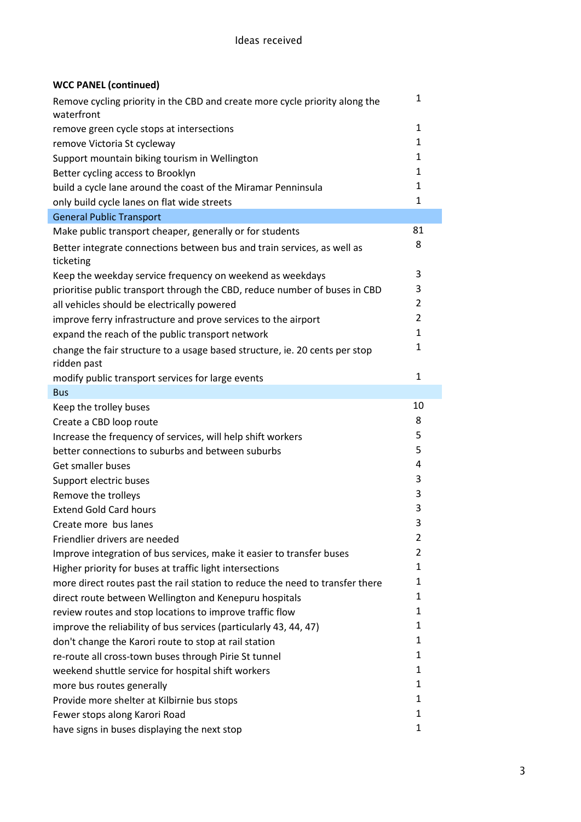## **WCC PANEL (continued)**

| Remove cycling priority in the CBD and create more cycle priority along the<br>waterfront  | 1              |
|--------------------------------------------------------------------------------------------|----------------|
| remove green cycle stops at intersections                                                  | $\mathbf{1}$   |
| remove Victoria St cycleway                                                                | 1              |
| Support mountain biking tourism in Wellington                                              | 1              |
| Better cycling access to Brooklyn                                                          | 1              |
| build a cycle lane around the coast of the Miramar Penninsula                              | 1              |
| only build cycle lanes on flat wide streets                                                | 1              |
| <b>General Public Transport</b>                                                            |                |
| Make public transport cheaper, generally or for students                                   | 81             |
| Better integrate connections between bus and train services, as well as<br>ticketing       | 8              |
| Keep the weekday service frequency on weekend as weekdays                                  | 3              |
| prioritise public transport through the CBD, reduce number of buses in CBD                 | 3              |
| all vehicles should be electrically powered                                                | $\overline{2}$ |
| improve ferry infrastructure and prove services to the airport                             | $\overline{2}$ |
| expand the reach of the public transport network                                           | 1              |
| change the fair structure to a usage based structure, ie. 20 cents per stop<br>ridden past | 1              |
| modify public transport services for large events                                          | 1              |
| <b>Bus</b>                                                                                 |                |
| Keep the trolley buses                                                                     | 10             |
| Create a CBD loop route                                                                    | 8              |
| Increase the frequency of services, will help shift workers                                | 5              |
| better connections to suburbs and between suburbs                                          | 5              |
| Get smaller buses                                                                          | 4              |
| Support electric buses                                                                     | 3              |
| Remove the trolleys                                                                        | 3              |
| <b>Extend Gold Card hours</b>                                                              | 3              |
| Create more bus lanes                                                                      | 3              |
| Friendlier drivers are needed                                                              | 2              |
| Improve integration of bus services, make it easier to transfer buses                      | 2              |
| Higher priority for buses at traffic light intersections                                   | 1              |
| more direct routes past the rail station to reduce the need to transfer there              | 1              |
| direct route between Wellington and Kenepuru hospitals                                     | 1              |
| review routes and stop locations to improve traffic flow                                   | 1              |
| improve the reliability of bus services (particularly 43, 44, 47)                          | 1              |
| don't change the Karori route to stop at rail station                                      | 1              |
| re-route all cross-town buses through Pirie St tunnel                                      | 1              |
| weekend shuttle service for hospital shift workers                                         | 1              |
| more bus routes generally                                                                  | 1              |
| Provide more shelter at Kilbirnie bus stops                                                | 1              |
| Fewer stops along Karori Road                                                              | 1              |
| have signs in buses displaying the next stop                                               | 1              |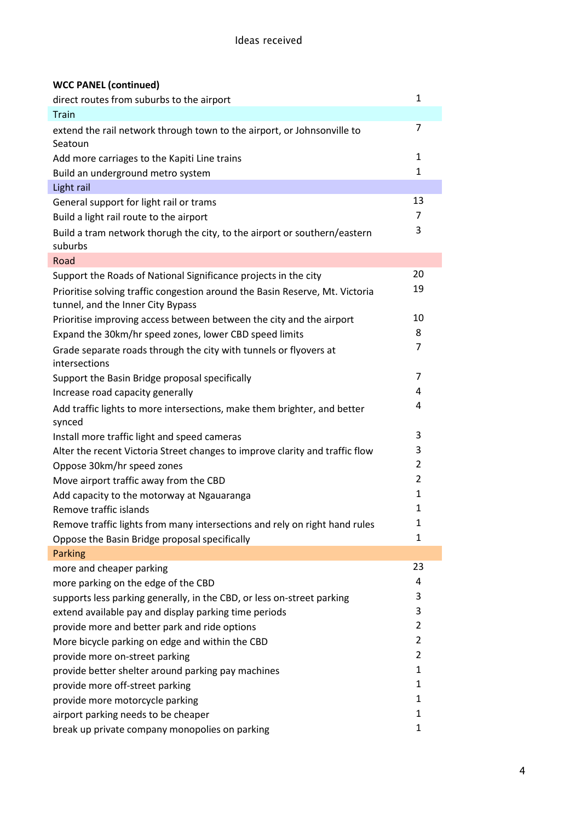# **WCC PANEL (continued)**

| direct routes from suburbs to the airport                                                                         | 1              |
|-------------------------------------------------------------------------------------------------------------------|----------------|
| <b>Train</b>                                                                                                      |                |
| extend the rail network through town to the airport, or Johnsonville to<br>Seatoun                                | 7              |
| Add more carriages to the Kapiti Line trains                                                                      | 1              |
| Build an underground metro system                                                                                 | 1              |
| Light rail                                                                                                        |                |
| General support for light rail or trams                                                                           | 13             |
| Build a light rail route to the airport                                                                           | $\overline{7}$ |
| Build a tram network thorugh the city, to the airport or southern/eastern<br>suburbs                              | 3              |
| Road                                                                                                              |                |
| Support the Roads of National Significance projects in the city                                                   | 20             |
| Prioritise solving traffic congestion around the Basin Reserve, Mt. Victoria<br>tunnel, and the Inner City Bypass | 19             |
| Prioritise improving access between between the city and the airport                                              | 10             |
| Expand the 30km/hr speed zones, lower CBD speed limits                                                            | 8              |
| Grade separate roads through the city with tunnels or flyovers at<br>intersections                                | 7              |
| Support the Basin Bridge proposal specifically                                                                    | 7              |
| Increase road capacity generally                                                                                  | 4              |
| Add traffic lights to more intersections, make them brighter, and better                                          | 4              |
| synced                                                                                                            |                |
| Install more traffic light and speed cameras                                                                      | 3              |
| Alter the recent Victoria Street changes to improve clarity and traffic flow                                      | 3              |
| Oppose 30km/hr speed zones                                                                                        | $\overline{2}$ |
| Move airport traffic away from the CBD                                                                            | $\overline{2}$ |
| Add capacity to the motorway at Ngauaranga                                                                        | 1              |
| Remove traffic islands                                                                                            | 1              |
| Remove traffic lights from many intersections and rely on right hand rules                                        | $\mathbf{1}$   |
| Oppose the Basin Bridge proposal specifically                                                                     | 1              |
| Parking                                                                                                           |                |
| more and cheaper parking                                                                                          | 23             |
| more parking on the edge of the CBD                                                                               | 4              |
| supports less parking generally, in the CBD, or less on-street parking                                            | 3              |
| extend available pay and display parking time periods                                                             | 3              |
| provide more and better park and ride options                                                                     | $\overline{2}$ |
| More bicycle parking on edge and within the CBD                                                                   | $\overline{2}$ |
| provide more on-street parking                                                                                    | $\overline{2}$ |
| provide better shelter around parking pay machines                                                                | 1              |
| provide more off-street parking                                                                                   | 1              |
| provide more motorcycle parking                                                                                   | $\mathbf{1}$   |
| airport parking needs to be cheaper                                                                               | 1              |
| break up private company monopolies on parking                                                                    | $\mathbf{1}$   |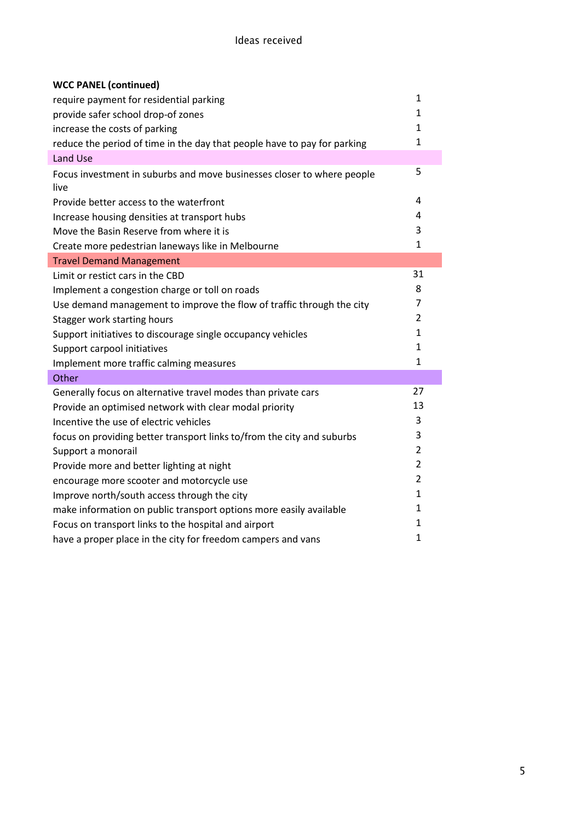| <b>WCC PANEL (continued)</b>                                                   |                |
|--------------------------------------------------------------------------------|----------------|
| require payment for residential parking                                        | $\mathbf{1}$   |
| provide safer school drop-of zones                                             | $\mathbf{1}$   |
| increase the costs of parking                                                  | $\mathbf{1}$   |
| reduce the period of time in the day that people have to pay for parking       | $\mathbf{1}$   |
| Land Use                                                                       |                |
| Focus investment in suburbs and move businesses closer to where people<br>live | 5              |
| Provide better access to the waterfront                                        | 4              |
| Increase housing densities at transport hubs                                   | 4              |
| Move the Basin Reserve from where it is                                        | 3              |
| Create more pedestrian laneways like in Melbourne                              | $\mathbf{1}$   |
| <b>Travel Demand Management</b>                                                |                |
| Limit or restict cars in the CBD                                               | 31             |
| Implement a congestion charge or toll on roads                                 | 8              |
| Use demand management to improve the flow of traffic through the city          | $\overline{7}$ |
| Stagger work starting hours                                                    | $\overline{2}$ |
| Support initiatives to discourage single occupancy vehicles                    | $\mathbf{1}$   |
| Support carpool initiatives                                                    | 1              |
| Implement more traffic calming measures                                        | $\mathbf{1}$   |
| Other                                                                          |                |
| Generally focus on alternative travel modes than private cars                  | 27             |
| Provide an optimised network with clear modal priority                         | 13             |
| Incentive the use of electric vehicles                                         | 3              |
| focus on providing better transport links to/from the city and suburbs         | 3              |
| Support a monorail                                                             | $\overline{2}$ |
| Provide more and better lighting at night                                      | $\overline{2}$ |
| encourage more scooter and motorcycle use                                      | $\overline{2}$ |
| Improve north/south access through the city                                    | $\mathbf{1}$   |
| make information on public transport options more easily available             | 1              |
| Focus on transport links to the hospital and airport                           | 1              |
| have a proper place in the city for freedom campers and vans                   | $\mathbf{1}$   |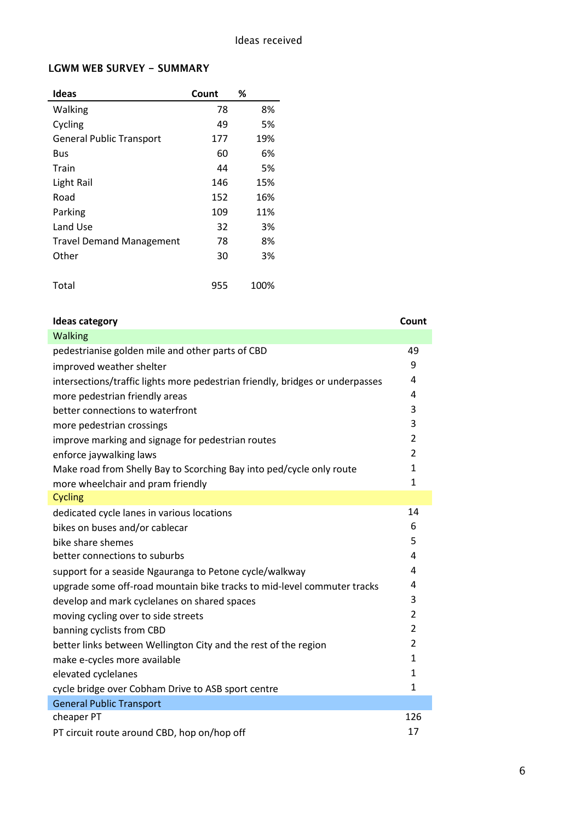#### **LGWM WEB SURVEY - SUMMARY**

| <b>Ideas</b>                    | Count | %    |
|---------------------------------|-------|------|
| Walking                         | 78    | 8%   |
| Cycling                         | 49    | 5%   |
| <b>General Public Transport</b> | 177   | 19%  |
| Bus                             | 60    | 6%   |
| Train                           | 44    | 5%   |
| Light Rail                      | 146   | 15%  |
| Road                            | 152   | 16%  |
| Parking                         | 109   | 11%  |
| Land Use                        | 32    | 3%   |
| <b>Travel Demand Management</b> | 78    | 8%   |
| Other                           | 30    | 3%   |
|                                 |       |      |
| Total                           | 955   | 100% |

## **Ideas category Count** Walking pedestrianise golden mile and other parts of CBD 49 improved weather shelter and the state of the state of the state of the state of the state of the state of the state of the state of the state of the state of the state of the state of the state of the state of the state o intersections/traffic lights more pedestrian friendly, bridges or underpasses 4 more pedestrian friendly areas 4 better connections to waterfront 3 more pedestrian crossings 3 improve marking and signage for pedestrian routes 2 enforce jaywalking laws 2 Make road from Shelly Bay to Scorching Bay into ped/cycle only route 1 more wheelchair and pram friendly 1 Cycling dedicated cycle lanes in various locations and the state of the 14 bikes on buses and/or cablecar 6 bike share shemes 5 better connections to suburbs 4 and  $\sim$  4 and  $\sim$  4 and 4 and 4 and 4 and 4 and 4 and 4 and 4 and 4 and 4 and 4 and 4 and 4 and 4 and 4 and 4 and 4 and 4 and 4 and 4 and 4 and 4 and 4 and 4 and 4 and 4 and 4 and 4 and 4 support for a seaside Ngauranga to Petone cycle/walkway 4 upgrade some off-road mountain bike tracks to mid-level commuter tracks 4 develop and mark cyclelanes on shared spaces 3 moving cycling over to side streets 2 banning cyclists from CBD 2 better links between Wellington City and the rest of the region 2 make e-cycles more available 1 and 1 and 2 and 1 and 2 and 1 and 2 and 1 and 2 and 1 and 1 and 1 and 1 and 1 and 1 and 1 and 1 and 1 and 1 and 1 and 1 and 1 and 1 and 1 and 1 and 1 and 1 and 1 and 1 and 1 and 1 and 1 and 1 elevated cyclelanes and the set of the set of the set of the set of the set of the set of the set of the set of the set of the set of the set of the set of the set of the set of the set of the set of the set of the set of cycle bridge over Cobham Drive to ASB sport centre 1 General Public Transport cheaper PT 126 PT circuit route around CBD, hop on/hop off 17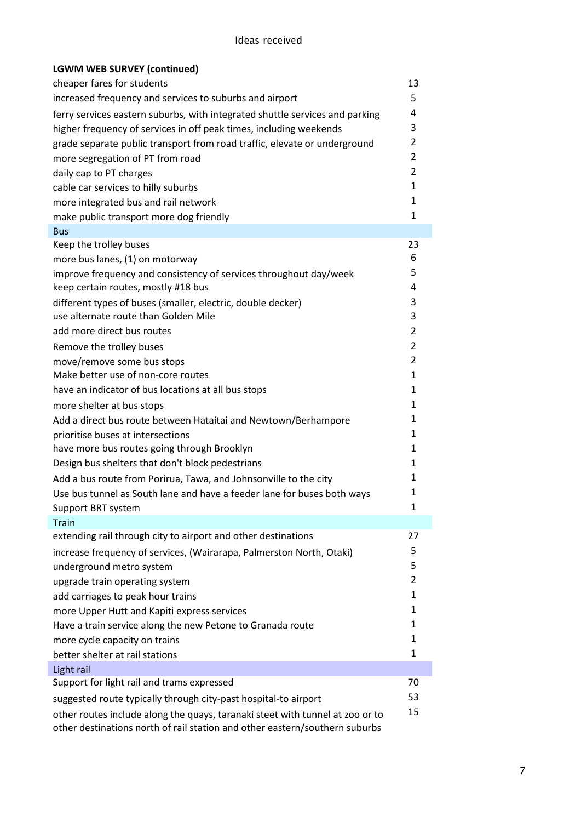| <b>LGWM WEB SURVEY (continued)</b>                                            |                |
|-------------------------------------------------------------------------------|----------------|
| cheaper fares for students                                                    | 13             |
| increased frequency and services to suburbs and airport                       | 5              |
| ferry services eastern suburbs, with integrated shuttle services and parking  | 4              |
| higher frequency of services in off peak times, including weekends            | 3              |
| grade separate public transport from road traffic, elevate or underground     | 2              |
| more segregation of PT from road                                              | 2              |
| daily cap to PT charges                                                       | 2              |
| cable car services to hilly suburbs                                           | $\mathbf{1}$   |
| more integrated bus and rail network                                          | 1              |
| make public transport more dog friendly                                       | $\mathbf{1}$   |
| <b>Bus</b>                                                                    |                |
| Keep the trolley buses                                                        | 23             |
| more bus lanes, (1) on motorway                                               | 6              |
| improve frequency and consistency of services throughout day/week             | 5              |
| keep certain routes, mostly #18 bus                                           | 4              |
| different types of buses (smaller, electric, double decker)                   | 3              |
| use alternate route than Golden Mile                                          | 3              |
| add more direct bus routes                                                    | 2              |
| Remove the trolley buses                                                      | $\overline{2}$ |
| move/remove some bus stops                                                    | 2              |
| Make better use of non-core routes                                            | 1              |
| have an indicator of bus locations at all bus stops                           | 1              |
| more shelter at bus stops                                                     | $\mathbf{1}$   |
| Add a direct bus route between Hataitai and Newtown/Berhampore                | 1              |
| prioritise buses at intersections                                             | 1              |
| have more bus routes going through Brooklyn                                   | 1              |
| Design bus shelters that don't block pedestrians                              | $\mathbf{1}$   |
| Add a bus route from Porirua, Tawa, and Johnsonville to the city              | 1              |
| Use bus tunnel as South lane and have a feeder lane for buses both ways       | 1              |
| Support BRT system                                                            | 1              |
| <b>Train</b>                                                                  |                |
| extending rail through city to airport and other destinations                 | 27             |
| increase frequency of services, (Wairarapa, Palmerston North, Otaki)          | 5              |
| underground metro system                                                      | 5              |
| upgrade train operating system                                                | 2              |
| add carriages to peak hour trains                                             | 1              |
| more Upper Hutt and Kapiti express services                                   | 1              |
| Have a train service along the new Petone to Granada route                    | 1              |
| more cycle capacity on trains                                                 | 1              |
| better shelter at rail stations                                               | 1              |
| Light rail                                                                    |                |
| Support for light rail and trams expressed                                    | 70             |
| suggested route typically through city-past hospital-to airport               | 53             |
| other routes include along the quays, taranaki steet with tunnel at zoo or to | 15             |
| other destinations north of rail station and other eastern/southern suburbs   |                |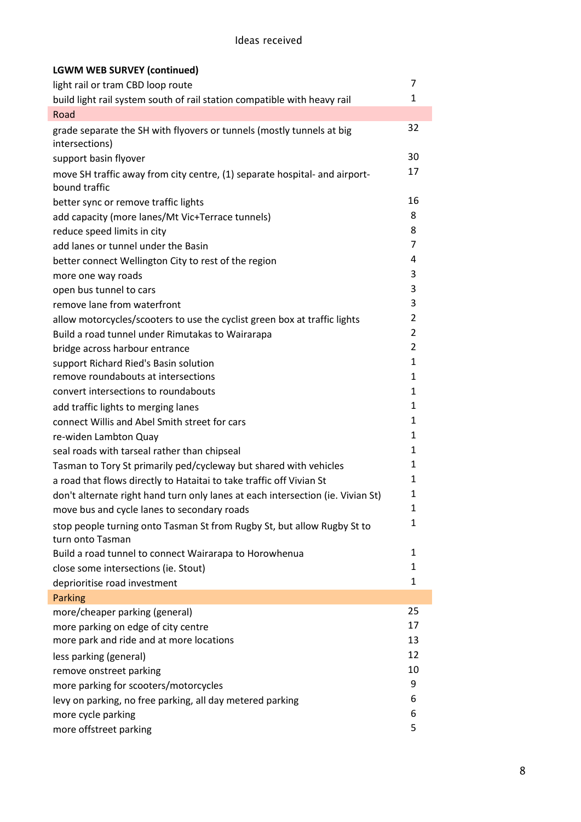## Ideas received

| <b>LGWM WEB SURVEY (continued)</b>                                                          |                |
|---------------------------------------------------------------------------------------------|----------------|
| light rail or tram CBD loop route                                                           | 7              |
| build light rail system south of rail station compatible with heavy rail                    | $\mathbf{1}$   |
| Road                                                                                        |                |
| grade separate the SH with flyovers or tunnels (mostly tunnels at big<br>intersections)     | 32             |
| support basin flyover                                                                       | 30             |
| move SH traffic away from city centre, (1) separate hospital- and airport-<br>bound traffic | 17             |
| better sync or remove traffic lights                                                        | 16             |
| add capacity (more lanes/Mt Vic+Terrace tunnels)                                            | 8              |
| reduce speed limits in city                                                                 | 8              |
| add lanes or tunnel under the Basin                                                         | 7              |
| better connect Wellington City to rest of the region                                        | 4              |
| more one way roads                                                                          | 3              |
| open bus tunnel to cars                                                                     | 3              |
| remove lane from waterfront                                                                 | 3              |
| allow motorcycles/scooters to use the cyclist green box at traffic lights                   | 2              |
| Build a road tunnel under Rimutakas to Wairarapa                                            | $\overline{2}$ |
| bridge across harbour entrance                                                              | $\overline{2}$ |
| support Richard Ried's Basin solution                                                       | $\mathbf{1}$   |
| remove roundabouts at intersections                                                         | $\mathbf{1}$   |
| convert intersections to roundabouts                                                        | $\mathbf{1}$   |
| add traffic lights to merging lanes                                                         | $\mathbf{1}$   |
| connect Willis and Abel Smith street for cars                                               | $\mathbf{1}$   |
| re-widen Lambton Quay                                                                       | $\mathbf{1}$   |
| seal roads with tarseal rather than chipseal                                                | $\mathbf{1}$   |
| Tasman to Tory St primarily ped/cycleway but shared with vehicles                           | $\mathbf{1}$   |
| a road that flows directly to Hataitai to take traffic off Vivian St                        | 1              |
| don't alternate right hand turn only lanes at each intersection (ie. Vivian St)             | 1              |
| move bus and cycle lanes to secondary roads                                                 | $\mathbf{1}$   |
| stop people turning onto Tasman St from Rugby St, but allow Rugby St to<br>turn onto Tasman | 1              |
| Build a road tunnel to connect Wairarapa to Horowhenua                                      | 1              |
| close some intersections (ie. Stout)                                                        | 1              |
| deprioritise road investment                                                                | 1              |
| Parking                                                                                     |                |
| more/cheaper parking (general)                                                              | 25             |
| more parking on edge of city centre                                                         | 17             |
| more park and ride and at more locations                                                    | 13             |
| less parking (general)                                                                      | 12             |
| remove onstreet parking                                                                     | 10             |
| more parking for scooters/motorcycles                                                       | 9              |
| levy on parking, no free parking, all day metered parking                                   | 6              |
| more cycle parking                                                                          | 6              |
| more offstreet parking                                                                      | 5              |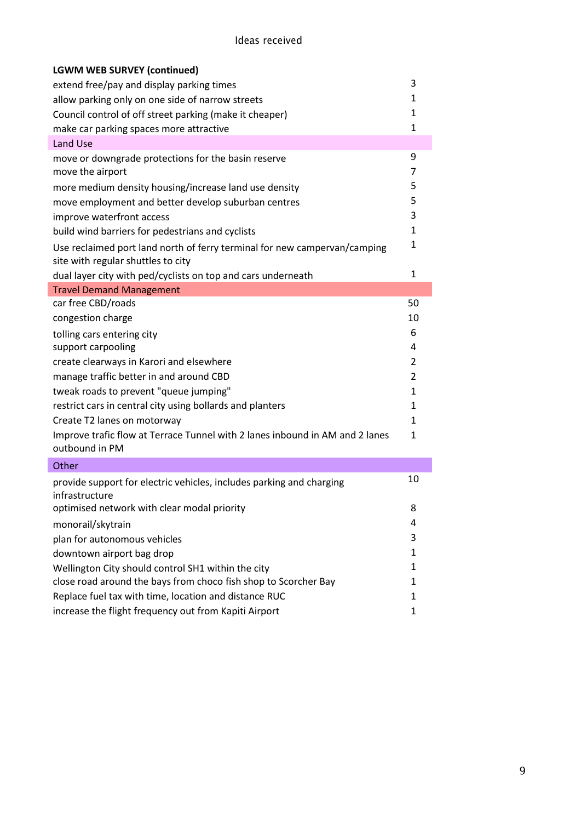| <b>LGWM WEB SURVEY (continued)</b>                                                                              |              |
|-----------------------------------------------------------------------------------------------------------------|--------------|
| extend free/pay and display parking times                                                                       | 3            |
| allow parking only on one side of narrow streets                                                                | 1            |
| Council control of off street parking (make it cheaper)                                                         | 1            |
| make car parking spaces more attractive                                                                         | 1            |
| Land Use                                                                                                        |              |
| move or downgrade protections for the basin reserve                                                             | 9            |
| move the airport                                                                                                | 7            |
| more medium density housing/increase land use density                                                           | 5            |
| move employment and better develop suburban centres                                                             | 5            |
| improve waterfront access                                                                                       | 3            |
| build wind barriers for pedestrians and cyclists                                                                | 1            |
| Use reclaimed port land north of ferry terminal for new campervan/camping<br>site with regular shuttles to city | 1            |
| dual layer city with ped/cyclists on top and cars underneath                                                    | 1            |
| <b>Travel Demand Management</b>                                                                                 |              |
| car free CBD/roads                                                                                              | 50           |
| congestion charge                                                                                               | 10           |
| tolling cars entering city                                                                                      | 6            |
| support carpooling                                                                                              | 4            |
| create clearways in Karori and elsewhere                                                                        | 2            |
| manage traffic better in and around CBD                                                                         | 2            |
| tweak roads to prevent "queue jumping"                                                                          | $\mathbf{1}$ |
| restrict cars in central city using bollards and planters                                                       | 1            |
| Create T2 lanes on motorway                                                                                     | $\mathbf{1}$ |
| Improve trafic flow at Terrace Tunnel with 2 lanes inbound in AM and 2 lanes<br>outbound in PM                  | 1            |
| Other                                                                                                           |              |
| provide support for electric vehicles, includes parking and charging<br>infrastructure                          | 10           |
| optimised network with clear modal priority                                                                     | 8            |
| monorail/skytrain                                                                                               | 4            |
| plan for autonomous vehicles                                                                                    | 3            |
| downtown airport bag drop                                                                                       | 1            |
| Wellington City should control SH1 within the city                                                              | 1            |
| close road around the bays from choco fish shop to Scorcher Bay                                                 | 1            |
| Replace fuel tax with time, location and distance RUC                                                           | 1            |
| increase the flight frequency out from Kapiti Airport                                                           | 1            |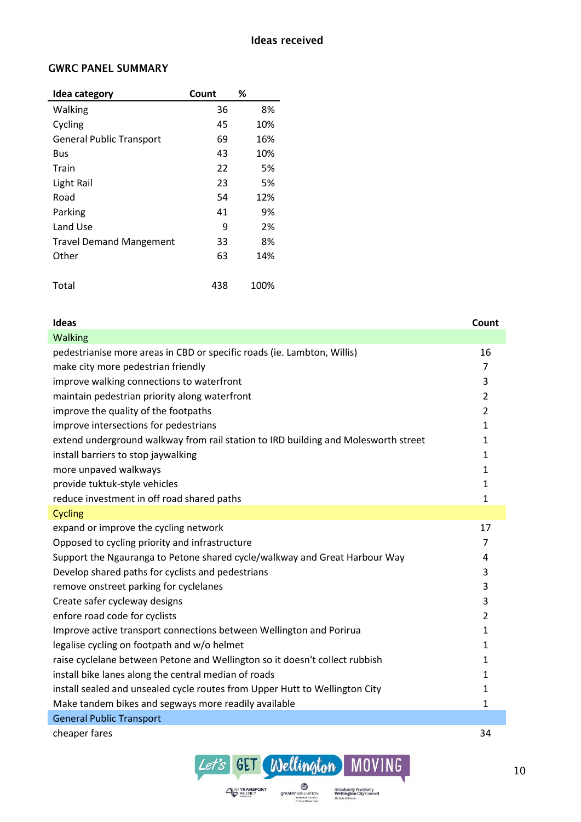### **GWRC PANEL SUMMARY**

| Idea category                   | Count | %    |
|---------------------------------|-------|------|
| Walking                         | 36    | 8%   |
| Cycling                         | 45    | 10%  |
| <b>General Public Transport</b> | 69    | 16%  |
| Bus                             | 43    | 10%  |
| Train                           | 22    | 5%   |
| Light Rail                      | 23    | 5%   |
| Road                            | 54    | 12%  |
| Parking                         | 41    | 9%   |
| Land Use                        | 9     | 2%   |
| <b>Travel Demand Mangement</b>  | 33    | 8%   |
| Other                           | 63    | 14%  |
|                                 |       |      |
| Total                           | 438   | 100% |

| Ideas                                                                              | Count          |
|------------------------------------------------------------------------------------|----------------|
| Walking                                                                            |                |
| pedestrianise more areas in CBD or specific roads (ie. Lambton, Willis)            | 16             |
| make city more pedestrian friendly                                                 | 7              |
| improve walking connections to waterfront                                          | 3              |
| maintain pedestrian priority along waterfront                                      | $\overline{2}$ |
| improve the quality of the footpaths                                               | $\overline{2}$ |
| improve intersections for pedestrians                                              | 1              |
| extend underground walkway from rail station to IRD building and Molesworth street | 1              |
| install barriers to stop jaywalking                                                | 1              |
| more unpaved walkways                                                              | 1              |
| provide tuktuk-style vehicles                                                      | 1              |
| reduce investment in off road shared paths                                         | 1              |
| <b>Cycling</b>                                                                     |                |
| expand or improve the cycling network                                              | 17             |
| Opposed to cycling priority and infrastructure                                     | $\overline{7}$ |
| Support the Ngauranga to Petone shared cycle/walkway and Great Harbour Way         | 4              |
| Develop shared paths for cyclists and pedestrians                                  | 3              |
| remove onstreet parking for cyclelanes                                             | 3              |
| Create safer cycleway designs                                                      | 3              |
| enfore road code for cyclists                                                      | $\overline{2}$ |
| Improve active transport connections between Wellington and Porirua                | 1              |
| legalise cycling on footpath and w/o helmet                                        | 1              |
| raise cyclelane between Petone and Wellington so it doesn't collect rubbish        | 1              |
| install bike lanes along the central median of roads                               | 1              |
| install sealed and unsealed cycle routes from Upper Hutt to Wellington City        | 1              |
| Make tandem bikes and segways more readily available                               | 1              |
| <b>General Public Transport</b>                                                    |                |
| cheaper fares                                                                      | 34             |

Let's GET Wellington MOVING

**SPEARER WELLINGTON** 

Absolutely Positively<br>Wellington City Council<br>Me Heke Ki Pôneke

 $\bigoplus_{\text{ACENCY}}^{\text{NZ} \text{TRANSPORT}}$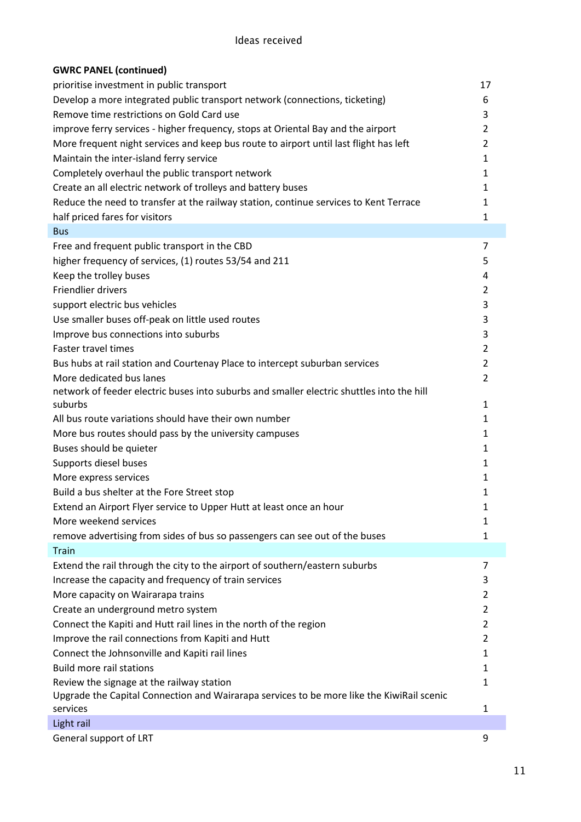| <b>GWRC PANEL (continued)</b>                                                             |                |
|-------------------------------------------------------------------------------------------|----------------|
| prioritise investment in public transport                                                 | 17             |
| Develop a more integrated public transport network (connections, ticketing)               | 6              |
| Remove time restrictions on Gold Card use                                                 | 3              |
| improve ferry services - higher frequency, stops at Oriental Bay and the airport          | 2              |
| More frequent night services and keep bus route to airport until last flight has left     | $\overline{2}$ |
| Maintain the inter-island ferry service                                                   | $\mathbf{1}$   |
| Completely overhaul the public transport network                                          | $\mathbf{1}$   |
| Create an all electric network of trolleys and battery buses                              | 1              |
| Reduce the need to transfer at the railway station, continue services to Kent Terrace     | $\mathbf{1}$   |
| half priced fares for visitors                                                            | $\mathbf{1}$   |
| <b>Bus</b>                                                                                |                |
| Free and frequent public transport in the CBD                                             | 7              |
| higher frequency of services, (1) routes 53/54 and 211                                    | 5              |
|                                                                                           |                |
| Keep the trolley buses                                                                    | 4              |
| <b>Friendlier drivers</b>                                                                 | 2              |
| support electric bus vehicles                                                             | 3              |
| Use smaller buses off-peak on little used routes                                          | 3              |
| Improve bus connections into suburbs                                                      | 3              |
| Faster travel times                                                                       | $\overline{2}$ |
| Bus hubs at rail station and Courtenay Place to intercept suburban services               | 2              |
| More dedicated bus lanes                                                                  | $\overline{2}$ |
| network of feeder electric buses into suburbs and smaller electric shuttles into the hill |                |
| suburbs                                                                                   | $\mathbf{1}$   |
| All bus route variations should have their own number                                     | $\mathbf{1}$   |
| More bus routes should pass by the university campuses                                    | $\mathbf{1}$   |
| Buses should be quieter                                                                   | $\mathbf{1}$   |
| Supports diesel buses                                                                     | $\mathbf{1}$   |
| More express services                                                                     | 1              |
| Build a bus shelter at the Fore Street stop                                               | 1              |
| Extend an Airport Flyer service to Upper Hutt at least once an hour                       | 1              |
| More weekend services                                                                     | 1              |
| remove advertising from sides of bus so passengers can see out of the buses               | $\mathbf{1}$   |
| <b>Train</b>                                                                              |                |
| Extend the rail through the city to the airport of southern/eastern suburbs               | 7              |
| Increase the capacity and frequency of train services                                     | 3              |
| More capacity on Wairarapa trains                                                         | 2              |
| Create an underground metro system                                                        | 2              |
| Connect the Kapiti and Hutt rail lines in the north of the region                         | 2              |
| Improve the rail connections from Kapiti and Hutt                                         | 2              |
| Connect the Johnsonville and Kapiti rail lines                                            | $\mathbf{1}$   |
| <b>Build more rail stations</b>                                                           | $\mathbf{1}$   |
| Review the signage at the railway station                                                 | $\mathbf{1}$   |
| Upgrade the Capital Connection and Wairarapa services to be more like the KiwiRail scenic |                |
| services                                                                                  | 1              |
| Light rail                                                                                |                |
| General support of LRT                                                                    | 9              |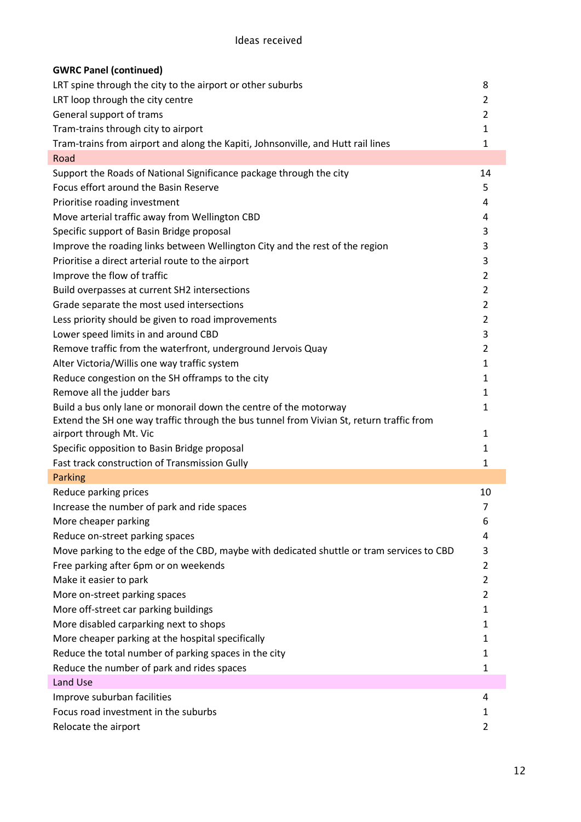| <b>GWRC Panel (continued)</b>                                                             |                |
|-------------------------------------------------------------------------------------------|----------------|
| LRT spine through the city to the airport or other suburbs                                | 8              |
| LRT loop through the city centre                                                          | $\overline{2}$ |
| General support of trams                                                                  | $\overline{2}$ |
| Tram-trains through city to airport                                                       | 1              |
| Tram-trains from airport and along the Kapiti, Johnsonville, and Hutt rail lines          | 1              |
| Road                                                                                      |                |
| Support the Roads of National Significance package through the city                       | 14             |
| Focus effort around the Basin Reserve                                                     | 5              |
| Prioritise roading investment                                                             | 4              |
| Move arterial traffic away from Wellington CBD                                            | 4              |
| Specific support of Basin Bridge proposal                                                 | 3              |
| Improve the roading links between Wellington City and the rest of the region              | 3              |
| Prioritise a direct arterial route to the airport                                         | 3              |
| Improve the flow of traffic                                                               | $\overline{2}$ |
| Build overpasses at current SH2 intersections                                             | $\overline{2}$ |
| Grade separate the most used intersections                                                | $\overline{2}$ |
| Less priority should be given to road improvements                                        | $\overline{2}$ |
| Lower speed limits in and around CBD                                                      | 3              |
| Remove traffic from the waterfront, underground Jervois Quay                              | 2              |
| Alter Victoria/Willis one way traffic system                                              | 1              |
| Reduce congestion on the SH offramps to the city                                          | 1              |
| Remove all the judder bars                                                                | 1              |
| Build a bus only lane or monorail down the centre of the motorway                         | 1              |
| Extend the SH one way traffic through the bus tunnel from Vivian St, return traffic from  |                |
| airport through Mt. Vic                                                                   | 1              |
| Specific opposition to Basin Bridge proposal                                              | $\mathbf{1}$   |
| Fast track construction of Transmission Gully                                             | 1              |
| <b>Parking</b>                                                                            |                |
| Reduce parking prices                                                                     | 10             |
| Increase the number of park and ride spaces                                               | 7              |
| More cheaper parking                                                                      | 6              |
| Reduce on-street parking spaces                                                           | 4              |
| Move parking to the edge of the CBD, maybe with dedicated shuttle or tram services to CBD | 3              |
| Free parking after 6pm or on weekends                                                     | 2              |
| Make it easier to park                                                                    | 2              |
| More on-street parking spaces                                                             | $\overline{2}$ |
| More off-street car parking buildings                                                     | 1              |
| More disabled carparking next to shops                                                    | 1              |
| More cheaper parking at the hospital specifically                                         | 1              |
| Reduce the total number of parking spaces in the city                                     | 1              |
| Reduce the number of park and rides spaces                                                | 1              |
| Land Use                                                                                  |                |
| Improve suburban facilities                                                               | 4              |
| Focus road investment in the suburbs                                                      | 1              |
| Relocate the airport                                                                      | 2              |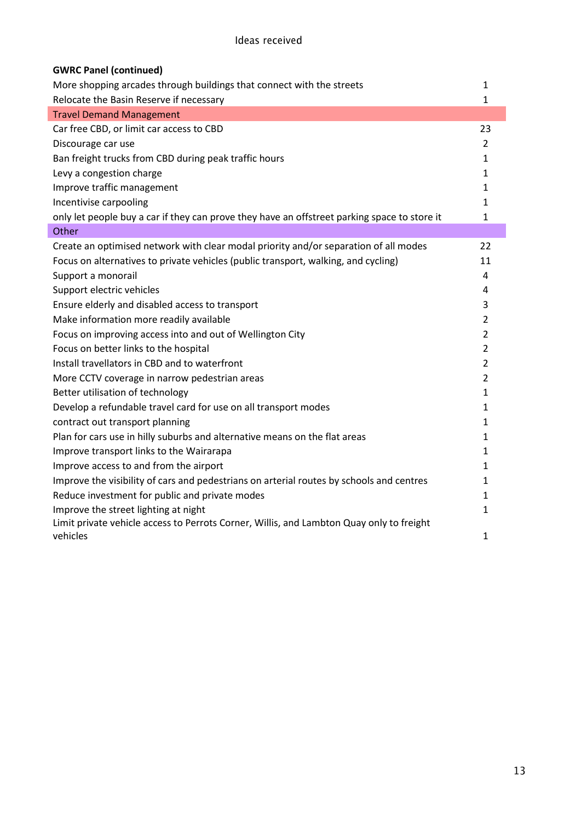| <b>GWRC Panel (continued)</b>                                                                |                |
|----------------------------------------------------------------------------------------------|----------------|
| More shopping arcades through buildings that connect with the streets                        | 1              |
| Relocate the Basin Reserve if necessary                                                      | $\mathbf{1}$   |
| <b>Travel Demand Management</b>                                                              |                |
| Car free CBD, or limit car access to CBD                                                     | 23             |
| Discourage car use                                                                           | $\overline{2}$ |
| Ban freight trucks from CBD during peak traffic hours                                        | 1              |
| Levy a congestion charge                                                                     | 1              |
| Improve traffic management                                                                   | 1              |
| Incentivise carpooling                                                                       | 1              |
| only let people buy a car if they can prove they have an offstreet parking space to store it | $\mathbf{1}$   |
| Other                                                                                        |                |
| Create an optimised network with clear modal priority and/or separation of all modes         | 22             |
| Focus on alternatives to private vehicles (public transport, walking, and cycling)           | 11             |
| Support a monorail                                                                           | 4              |
| Support electric vehicles                                                                    | 4              |
| Ensure elderly and disabled access to transport                                              | 3              |
| Make information more readily available                                                      | $\overline{2}$ |
| Focus on improving access into and out of Wellington City                                    | $\overline{2}$ |
| Focus on better links to the hospital                                                        | $\overline{2}$ |
| Install travellators in CBD and to waterfront                                                | $\overline{2}$ |
| More CCTV coverage in narrow pedestrian areas                                                | $\overline{2}$ |
| Better utilisation of technology                                                             | 1              |
| Develop a refundable travel card for use on all transport modes                              | 1              |
| contract out transport planning                                                              | $\mathbf{1}$   |
| Plan for cars use in hilly suburbs and alternative means on the flat areas                   | 1              |
| Improve transport links to the Wairarapa                                                     | 1              |
| Improve access to and from the airport                                                       | $\mathbf{1}$   |
| Improve the visibility of cars and pedestrians on arterial routes by schools and centres     | 1              |
| Reduce investment for public and private modes                                               | 1              |
| Improve the street lighting at night                                                         | 1              |
| Limit private vehicle access to Perrots Corner, Willis, and Lambton Quay only to freight     |                |
| vehicles                                                                                     | $\mathbf{1}$   |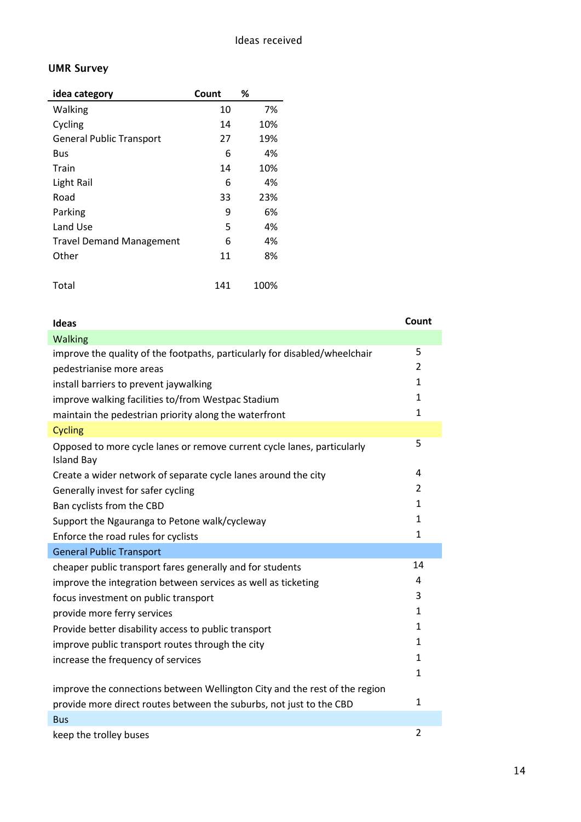## **UMR Survey**

| idea category                   | Count | ℅    |
|---------------------------------|-------|------|
| Walking                         | 10    | 7%   |
| Cycling                         | 14    | 10%  |
| <b>General Public Transport</b> | 27    | 19%  |
| Bus                             | 6     | 4%   |
| Train                           | 14    | 10%  |
| Light Rail                      | 6     | 4%   |
| Road                            | 33    | 23%  |
| Parking                         | 9     | 6%   |
| Land Use                        | 5     | 4%   |
| <b>Travel Demand Management</b> | 6     | 4%   |
| Other                           | 11    | 8%   |
|                                 |       |      |
| Total                           | 141   | 100% |

| <b>Ideas</b>                                                                                 | Count        |
|----------------------------------------------------------------------------------------------|--------------|
| Walking                                                                                      |              |
| improve the quality of the footpaths, particularly for disabled/wheelchair                   | 5            |
| pedestrianise more areas                                                                     | 2            |
| install barriers to prevent jaywalking                                                       | $\mathbf{1}$ |
| improve walking facilities to/from Westpac Stadium                                           | $\mathbf{1}$ |
| maintain the pedestrian priority along the waterfront                                        | 1            |
| <b>Cycling</b>                                                                               |              |
| Opposed to more cycle lanes or remove current cycle lanes, particularly<br><b>Island Bay</b> | 5            |
| Create a wider network of separate cycle lanes around the city                               | 4            |
| Generally invest for safer cycling                                                           | 2            |
| Ban cyclists from the CBD                                                                    | 1            |
| Support the Ngauranga to Petone walk/cycleway                                                | $\mathbf{1}$ |
| Enforce the road rules for cyclists                                                          | $\mathbf{1}$ |
| <b>General Public Transport</b>                                                              |              |
| cheaper public transport fares generally and for students                                    | 14           |
| improve the integration between services as well as ticketing                                | 4            |
| focus investment on public transport                                                         | 3            |
| provide more ferry services                                                                  | $\mathbf{1}$ |
| Provide better disability access to public transport                                         | 1            |
| improve public transport routes through the city                                             | 1            |
| increase the frequency of services                                                           | $\mathbf{1}$ |
|                                                                                              | $\mathbf{1}$ |
| improve the connections between Wellington City and the rest of the region                   |              |
| provide more direct routes between the suburbs, not just to the CBD                          | $\mathbf{1}$ |
| <b>Bus</b>                                                                                   |              |
| keep the trolley buses                                                                       | 2            |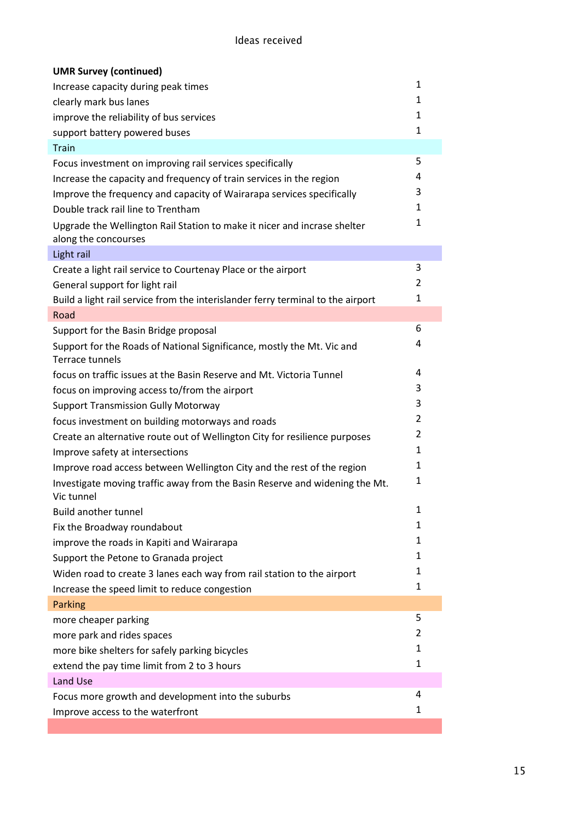| <b>UMR Survey (continued)</b>                                                                    |                |
|--------------------------------------------------------------------------------------------------|----------------|
| Increase capacity during peak times                                                              | 1              |
| clearly mark bus lanes                                                                           | 1              |
| improve the reliability of bus services                                                          | 1              |
| support battery powered buses                                                                    | 1              |
| <b>Train</b>                                                                                     |                |
| Focus investment on improving rail services specifically                                         | 5              |
| Increase the capacity and frequency of train services in the region                              | 4              |
| Improve the frequency and capacity of Wairarapa services specifically                            | 3              |
| Double track rail line to Trentham                                                               | $\mathbf{1}$   |
| Upgrade the Wellington Rail Station to make it nicer and incrase shelter<br>along the concourses | 1              |
| Light rail                                                                                       |                |
| Create a light rail service to Courtenay Place or the airport                                    | 3              |
| General support for light rail                                                                   | 2              |
| Build a light rail service from the interislander ferry terminal to the airport                  | $\mathbf{1}$   |
| Road                                                                                             |                |
| Support for the Basin Bridge proposal                                                            | 6              |
| Support for the Roads of National Significance, mostly the Mt. Vic and<br>Terrace tunnels        | 4              |
| focus on traffic issues at the Basin Reserve and Mt. Victoria Tunnel                             | 4              |
| focus on improving access to/from the airport                                                    | 3              |
| <b>Support Transmission Gully Motorway</b>                                                       | 3              |
| focus investment on building motorways and roads                                                 | 2              |
| Create an alternative route out of Wellington City for resilience purposes                       | $\overline{2}$ |
| Improve safety at intersections                                                                  | $\mathbf{1}$   |
| Improve road access between Wellington City and the rest of the region                           | $\mathbf{1}$   |
| Investigate moving traffic away from the Basin Reserve and widening the Mt.<br>Vic tunnel        | 1              |
| <b>Build another tunnel</b>                                                                      | 1              |
| Fix the Broadway roundabout                                                                      | 1              |
| improve the roads in Kapiti and Wairarapa                                                        | $\mathbf{1}$   |
| Support the Petone to Granada project                                                            | 1              |
| Widen road to create 3 lanes each way from rail station to the airport                           | 1              |
| Increase the speed limit to reduce congestion                                                    | 1              |
| <b>Parking</b>                                                                                   |                |
| more cheaper parking                                                                             | 5              |
| more park and rides spaces                                                                       | 2              |
| more bike shelters for safely parking bicycles                                                   | 1              |
| extend the pay time limit from 2 to 3 hours                                                      | 1              |
| Land Use                                                                                         |                |
| Focus more growth and development into the suburbs                                               | 4              |
| Improve access to the waterfront                                                                 | 1              |
|                                                                                                  |                |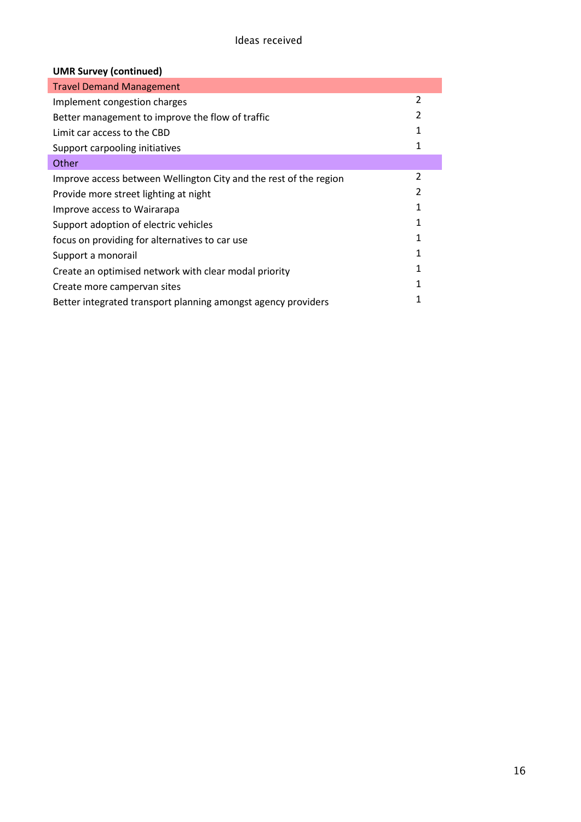| <b>UMR Survey (continued)</b>                                     |                |
|-------------------------------------------------------------------|----------------|
| <b>Travel Demand Management</b>                                   |                |
| Implement congestion charges                                      | $\overline{2}$ |
| Better management to improve the flow of traffic                  | 2              |
| Limit car access to the CBD                                       | 1              |
| Support carpooling initiatives                                    | 1              |
| Other                                                             |                |
| Improve access between Wellington City and the rest of the region | 2              |
| Provide more street lighting at night                             | 2              |
| Improve access to Wairarapa                                       | 1              |
| Support adoption of electric vehicles                             | 1              |
| focus on providing for alternatives to car use                    | 1              |
| Support a monorail                                                | 1              |
| Create an optimised network with clear modal priority             | 1              |
| Create more campervan sites                                       |                |
| Better integrated transport planning amongst agency providers     | 1              |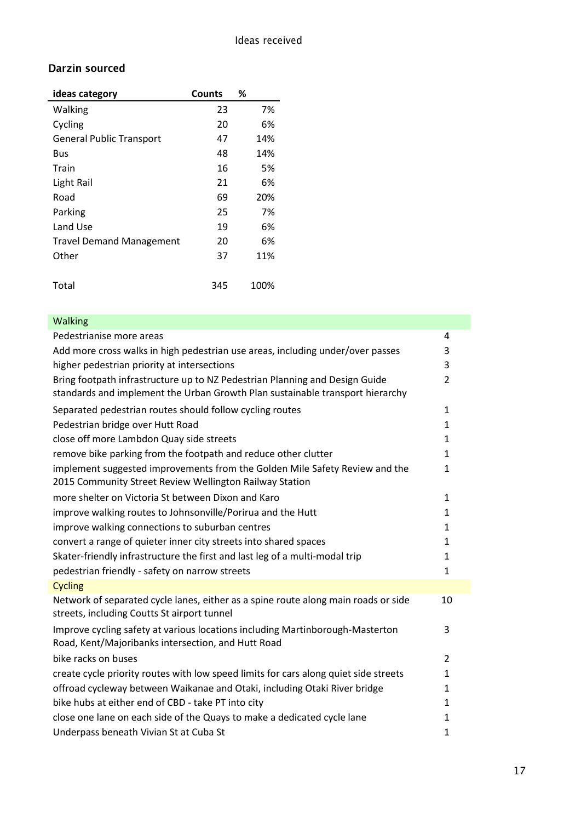#### Darzin sourced

| ideas category                  | <b>Counts</b> | ℅    |
|---------------------------------|---------------|------|
| Walking                         | 23            | 7%   |
| Cycling                         | 20            | 6%   |
| <b>General Public Transport</b> | 47            | 14%  |
| Bus                             | 48            | 14%  |
| Train                           | 16            | 5%   |
| Light Rail                      | 21            | 6%   |
| Road                            | 69            | 20%  |
| Parking                         | 25            | 7%   |
| Land Use                        | 19            | 6%   |
| <b>Travel Demand Management</b> | 20            | 6%   |
| Other                           | 37            | 11%  |
|                                 |               |      |
| Total                           | 345           | 100% |

| <b>Walking</b>                                                                                                                                               |                |
|--------------------------------------------------------------------------------------------------------------------------------------------------------------|----------------|
| Pedestrianise more areas                                                                                                                                     | 4              |
| Add more cross walks in high pedestrian use areas, including under/over passes                                                                               | 3              |
| higher pedestrian priority at intersections                                                                                                                  | 3              |
| Bring footpath infrastructure up to NZ Pedestrian Planning and Design Guide<br>standards and implement the Urban Growth Plan sustainable transport hierarchy | $\overline{2}$ |
| Separated pedestrian routes should follow cycling routes                                                                                                     | $\mathbf{1}$   |
| Pedestrian bridge over Hutt Road                                                                                                                             | $\mathbf{1}$   |
| close off more Lambdon Quay side streets                                                                                                                     | $\mathbf{1}$   |
| remove bike parking from the footpath and reduce other clutter                                                                                               | $\mathbf{1}$   |
| implement suggested improvements from the Golden Mile Safety Review and the<br>2015 Community Street Review Wellington Railway Station                       | $\mathbf{1}$   |
| more shelter on Victoria St between Dixon and Karo                                                                                                           | $\mathbf{1}$   |
| improve walking routes to Johnsonville/Porirua and the Hutt                                                                                                  | $\mathbf{1}$   |
| improve walking connections to suburban centres                                                                                                              | $\mathbf{1}$   |
| convert a range of quieter inner city streets into shared spaces                                                                                             | $\mathbf{1}$   |
| Skater-friendly infrastructure the first and last leg of a multi-modal trip                                                                                  | $\mathbf{1}$   |
| pedestrian friendly - safety on narrow streets                                                                                                               | $\mathbf{1}$   |
| <b>Cycling</b>                                                                                                                                               |                |
| Network of separated cycle lanes, either as a spine route along main roads or side<br>streets, including Coutts St airport tunnel                            | 10             |
| Improve cycling safety at various locations including Martinborough-Masterton<br>Road, Kent/Majoribanks intersection, and Hutt Road                          | 3              |
| bike racks on buses                                                                                                                                          | $\overline{2}$ |
| create cycle priority routes with low speed limits for cars along quiet side streets                                                                         | $\mathbf{1}$   |
| offroad cycleway between Waikanae and Otaki, including Otaki River bridge                                                                                    | $\mathbf{1}$   |
| bike hubs at either end of CBD - take PT into city                                                                                                           | $\mathbf{1}$   |
| close one lane on each side of the Quays to make a dedicated cycle lane                                                                                      | $\mathbf{1}$   |
| Underpass beneath Vivian St at Cuba St                                                                                                                       | $\mathbf{1}$   |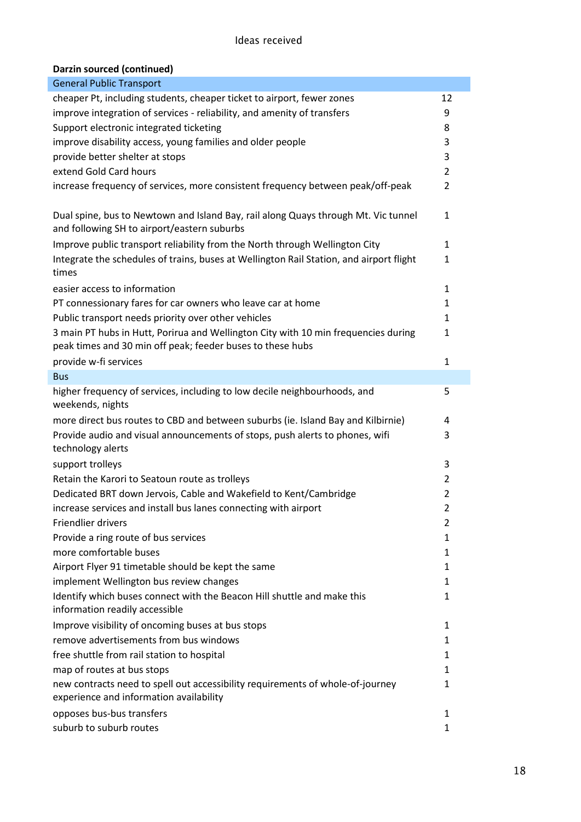#### Ideas received

### **Darzin sourced (continued)**

| <b>General Public Transport</b>                                                                   |                |
|---------------------------------------------------------------------------------------------------|----------------|
| cheaper Pt, including students, cheaper ticket to airport, fewer zones                            | 12             |
| improve integration of services - reliability, and amenity of transfers                           | 9              |
| Support electronic integrated ticketing                                                           | 8              |
| improve disability access, young families and older people                                        | 3              |
| provide better shelter at stops                                                                   | 3              |
| extend Gold Card hours                                                                            | $\overline{2}$ |
| increase frequency of services, more consistent frequency between peak/off-peak                   | 2              |
|                                                                                                   |                |
| Dual spine, bus to Newtown and Island Bay, rail along Quays through Mt. Vic tunnel                | $\mathbf{1}$   |
| and following SH to airport/eastern suburbs                                                       |                |
| Improve public transport reliability from the North through Wellington City                       | $\mathbf{1}$   |
| Integrate the schedules of trains, buses at Wellington Rail Station, and airport flight<br>times  | $\mathbf{1}$   |
| easier access to information                                                                      | 1              |
| PT connessionary fares for car owners who leave car at home                                       | 1              |
| Public transport needs priority over other vehicles                                               | 1              |
| 3 main PT hubs in Hutt, Porirua and Wellington City with 10 min frequencies during                | $\mathbf{1}$   |
| peak times and 30 min off peak; feeder buses to these hubs                                        |                |
| provide w-fi services                                                                             | $\mathbf{1}$   |
| <b>Bus</b>                                                                                        |                |
| higher frequency of services, including to low decile neighbourhoods, and                         | 5              |
| weekends, nights                                                                                  |                |
| more direct bus routes to CBD and between suburbs (ie. Island Bay and Kilbirnie)                  | 4              |
| Provide audio and visual announcements of stops, push alerts to phones, wifi<br>technology alerts | 3              |
| support trolleys                                                                                  | 3              |
| Retain the Karori to Seatoun route as trolleys                                                    | 2              |
| Dedicated BRT down Jervois, Cable and Wakefield to Kent/Cambridge                                 | 2              |
| increase services and install bus lanes connecting with airport                                   | $\overline{2}$ |
| Friendlier drivers                                                                                | 2              |
| Provide a ring route of bus services                                                              | 1              |
| more comfortable buses                                                                            | 1              |
| Airport Flyer 91 timetable should be kept the same                                                | 1              |
| implement Wellington bus review changes                                                           | 1              |
| Identify which buses connect with the Beacon Hill shuttle and make this                           | 1              |
| information readily accessible                                                                    |                |
| Improve visibility of oncoming buses at bus stops                                                 | 1              |
| remove advertisements from bus windows                                                            | 1              |
| free shuttle from rail station to hospital                                                        | 1              |
| map of routes at bus stops                                                                        | 1              |
| new contracts need to spell out accessibility requirements of whole-of-journey                    | 1              |
| experience and information availability                                                           |                |
| opposes bus-bus transfers                                                                         | 1              |
| suburb to suburb routes                                                                           | 1              |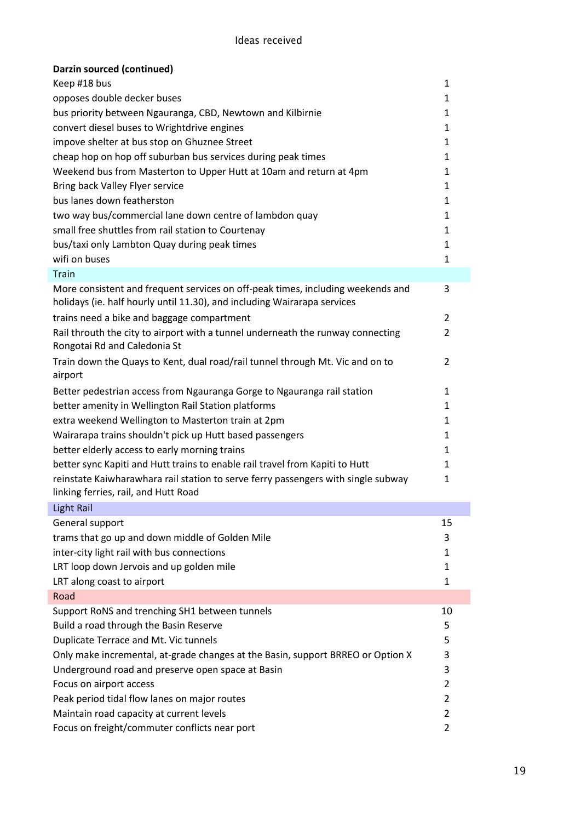| Darzin sourced (continued)                                                                                                                                  |                |
|-------------------------------------------------------------------------------------------------------------------------------------------------------------|----------------|
| Keep #18 bus                                                                                                                                                | 1              |
| opposes double decker buses                                                                                                                                 | $\mathbf{1}$   |
| bus priority between Ngauranga, CBD, Newtown and Kilbirnie                                                                                                  | 1              |
| convert diesel buses to Wrightdrive engines                                                                                                                 | $\mathbf{1}$   |
| impove shelter at bus stop on Ghuznee Street                                                                                                                | $\mathbf{1}$   |
| cheap hop on hop off suburban bus services during peak times                                                                                                | $\mathbf{1}$   |
| Weekend bus from Masterton to Upper Hutt at 10am and return at 4pm                                                                                          | 1              |
| Bring back Valley Flyer service                                                                                                                             | $\mathbf{1}$   |
| bus lanes down featherston                                                                                                                                  | $\mathbf{1}$   |
| two way bus/commercial lane down centre of lambdon quay                                                                                                     | $\mathbf{1}$   |
| small free shuttles from rail station to Courtenay                                                                                                          | 1              |
| bus/taxi only Lambton Quay during peak times                                                                                                                | $\mathbf{1}$   |
| wifi on buses                                                                                                                                               | $\mathbf{1}$   |
| <b>Train</b>                                                                                                                                                |                |
| More consistent and frequent services on off-peak times, including weekends and<br>holidays (ie. half hourly until 11.30), and including Wairarapa services | 3              |
| trains need a bike and baggage compartment                                                                                                                  | $\overline{2}$ |
| Rail throuth the city to airport with a tunnel underneath the runway connecting<br>Rongotai Rd and Caledonia St                                             | 2              |
| Train down the Quays to Kent, dual road/rail tunnel through Mt. Vic and on to<br>airport                                                                    | 2              |
| Better pedestrian access from Ngauranga Gorge to Ngauranga rail station                                                                                     | $\mathbf{1}$   |
| better amenity in Wellington Rail Station platforms                                                                                                         | 1              |
| extra weekend Wellington to Masterton train at 2pm                                                                                                          | $\mathbf{1}$   |
| Wairarapa trains shouldn't pick up Hutt based passengers                                                                                                    | $\mathbf{1}$   |
| better elderly access to early morning trains                                                                                                               | $\mathbf{1}$   |
| better sync Kapiti and Hutt trains to enable rail travel from Kapiti to Hutt                                                                                | $\mathbf{1}$   |
| reinstate Kaiwharawhara rail station to serve ferry passengers with single subway<br>linking ferries, rail, and Hutt Road                                   | $\mathbf{1}$   |
| <b>Light Rail</b>                                                                                                                                           |                |
| General support                                                                                                                                             | 15             |
| trams that go up and down middle of Golden Mile                                                                                                             | 3              |
| inter-city light rail with bus connections                                                                                                                  | 1              |
| LRT loop down Jervois and up golden mile                                                                                                                    | 1              |
| LRT along coast to airport                                                                                                                                  | $\mathbf{1}$   |
| Road                                                                                                                                                        |                |
| Support RoNS and trenching SH1 between tunnels                                                                                                              | 10             |
| Build a road through the Basin Reserve                                                                                                                      | 5              |
| Duplicate Terrace and Mt. Vic tunnels                                                                                                                       | 5              |
| Only make incremental, at-grade changes at the Basin, support BRREO or Option X                                                                             | 3              |
| Underground road and preserve open space at Basin                                                                                                           | 3              |
| Focus on airport access                                                                                                                                     | 2              |
| Peak period tidal flow lanes on major routes                                                                                                                | $\overline{2}$ |
| Maintain road capacity at current levels                                                                                                                    | 2              |
| Focus on freight/commuter conflicts near port                                                                                                               | $\overline{2}$ |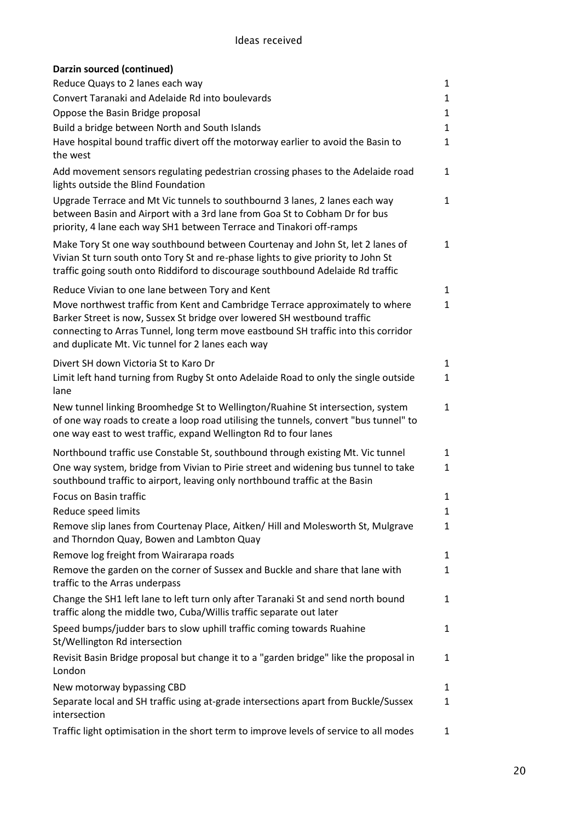| Darzin sourced (continued)                                                                                                                                                                                                                                                                           |              |
|------------------------------------------------------------------------------------------------------------------------------------------------------------------------------------------------------------------------------------------------------------------------------------------------------|--------------|
| Reduce Quays to 2 lanes each way                                                                                                                                                                                                                                                                     | $\mathbf{1}$ |
| Convert Taranaki and Adelaide Rd into boulevards                                                                                                                                                                                                                                                     | $\mathbf{1}$ |
| Oppose the Basin Bridge proposal                                                                                                                                                                                                                                                                     | $\mathbf{1}$ |
| Build a bridge between North and South Islands                                                                                                                                                                                                                                                       | $\mathbf{1}$ |
| Have hospital bound traffic divert off the motorway earlier to avoid the Basin to<br>the west                                                                                                                                                                                                        | 1            |
| Add movement sensors regulating pedestrian crossing phases to the Adelaide road<br>lights outside the Blind Foundation                                                                                                                                                                               | $\mathbf{1}$ |
| Upgrade Terrace and Mt Vic tunnels to southbournd 3 lanes, 2 lanes each way<br>between Basin and Airport with a 3rd lane from Goa St to Cobham Dr for bus<br>priority, 4 lane each way SH1 between Terrace and Tinakori off-ramps                                                                    | $\mathbf{1}$ |
| Make Tory St one way southbound between Courtenay and John St, let 2 lanes of<br>Vivian St turn south onto Tory St and re-phase lights to give priority to John St<br>traffic going south onto Riddiford to discourage southbound Adelaide Rd traffic                                                | $\mathbf{1}$ |
| Reduce Vivian to one lane between Tory and Kent                                                                                                                                                                                                                                                      | $\mathbf{1}$ |
| Move northwest traffic from Kent and Cambridge Terrace approximately to where<br>Barker Street is now, Sussex St bridge over lowered SH westbound traffic<br>connecting to Arras Tunnel, long term move eastbound SH traffic into this corridor<br>and duplicate Mt. Vic tunnel for 2 lanes each way | $\mathbf{1}$ |
| Divert SH down Victoria St to Karo Dr                                                                                                                                                                                                                                                                | 1            |
| Limit left hand turning from Rugby St onto Adelaide Road to only the single outside<br>lane                                                                                                                                                                                                          | $\mathbf{1}$ |
| New tunnel linking Broomhedge St to Wellington/Ruahine St intersection, system<br>of one way roads to create a loop road utilising the tunnels, convert "bus tunnel" to<br>one way east to west traffic, expand Wellington Rd to four lanes                                                          | $\mathbf{1}$ |
| Northbound traffic use Constable St, southbound through existing Mt. Vic tunnel                                                                                                                                                                                                                      | $\mathbf{1}$ |
| One way system, bridge from Vivian to Pirie street and widening bus tunnel to take<br>southbound traffic to airport, leaving only northbound traffic at the Basin                                                                                                                                    | $\mathbf{1}$ |
| <b>Focus on Basin traffic</b>                                                                                                                                                                                                                                                                        | 1            |
| Reduce speed limits                                                                                                                                                                                                                                                                                  | $\mathbf{1}$ |
| Remove slip lanes from Courtenay Place, Aitken/ Hill and Molesworth St, Mulgrave<br>and Thorndon Quay, Bowen and Lambton Quay                                                                                                                                                                        | $\mathbf{1}$ |
| Remove log freight from Wairarapa roads                                                                                                                                                                                                                                                              | $\mathbf{1}$ |
| Remove the garden on the corner of Sussex and Buckle and share that lane with<br>traffic to the Arras underpass                                                                                                                                                                                      | $\mathbf{1}$ |
| Change the SH1 left lane to left turn only after Taranaki St and send north bound<br>traffic along the middle two, Cuba/Willis traffic separate out later                                                                                                                                            | $\mathbf{1}$ |
| Speed bumps/judder bars to slow uphill traffic coming towards Ruahine<br>St/Wellington Rd intersection                                                                                                                                                                                               | $\mathbf{1}$ |
| Revisit Basin Bridge proposal but change it to a "garden bridge" like the proposal in<br>London                                                                                                                                                                                                      | $\mathbf{1}$ |
| New motorway bypassing CBD                                                                                                                                                                                                                                                                           | $\mathbf{1}$ |
| Separate local and SH traffic using at-grade intersections apart from Buckle/Sussex<br>intersection                                                                                                                                                                                                  | $\mathbf{1}$ |
| Traffic light optimisation in the short term to improve levels of service to all modes                                                                                                                                                                                                               | $\mathbf{1}$ |
|                                                                                                                                                                                                                                                                                                      |              |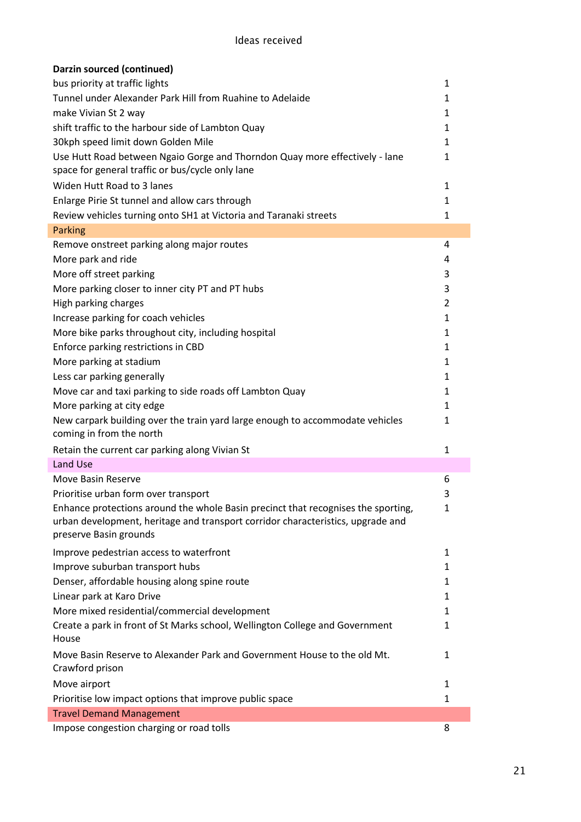| Darzin sourced (continued)                                                                                                                                                                     |              |
|------------------------------------------------------------------------------------------------------------------------------------------------------------------------------------------------|--------------|
| bus priority at traffic lights                                                                                                                                                                 | 1            |
| Tunnel under Alexander Park Hill from Ruahine to Adelaide                                                                                                                                      | 1            |
| make Vivian St 2 way                                                                                                                                                                           | 1            |
| shift traffic to the harbour side of Lambton Quay                                                                                                                                              | 1            |
| 30kph speed limit down Golden Mile                                                                                                                                                             | 1            |
| Use Hutt Road between Ngaio Gorge and Thorndon Quay more effectively - lane<br>space for general traffic or bus/cycle only lane                                                                | $\mathbf{1}$ |
| Widen Hutt Road to 3 lanes                                                                                                                                                                     | 1            |
| Enlarge Pirie St tunnel and allow cars through                                                                                                                                                 | 1            |
| Review vehicles turning onto SH1 at Victoria and Taranaki streets                                                                                                                              | 1            |
| <b>Parking</b>                                                                                                                                                                                 |              |
| Remove onstreet parking along major routes                                                                                                                                                     | 4            |
| More park and ride                                                                                                                                                                             | 4            |
|                                                                                                                                                                                                | 3            |
| More off street parking                                                                                                                                                                        | 3            |
| More parking closer to inner city PT and PT hubs                                                                                                                                               |              |
| High parking charges                                                                                                                                                                           | 2            |
| Increase parking for coach vehicles                                                                                                                                                            | 1            |
| More bike parks throughout city, including hospital                                                                                                                                            | 1            |
| Enforce parking restrictions in CBD                                                                                                                                                            | 1            |
| More parking at stadium                                                                                                                                                                        | 1            |
| Less car parking generally                                                                                                                                                                     | 1            |
| Move car and taxi parking to side roads off Lambton Quay                                                                                                                                       | 1            |
| More parking at city edge                                                                                                                                                                      | 1            |
| New carpark building over the train yard large enough to accommodate vehicles<br>coming in from the north                                                                                      | 1            |
| Retain the current car parking along Vivian St                                                                                                                                                 | 1            |
| Land Use                                                                                                                                                                                       |              |
| Move Basin Reserve                                                                                                                                                                             | 6            |
| Prioritise urban form over transport                                                                                                                                                           | 3            |
| Enhance protections around the whole Basin precinct that recognises the sporting,<br>urban development, heritage and transport corridor characteristics, upgrade and<br>preserve Basin grounds | $\mathbf{1}$ |
| Improve pedestrian access to waterfront                                                                                                                                                        | $\mathbf{1}$ |
| Improve suburban transport hubs                                                                                                                                                                | 1            |
| Denser, affordable housing along spine route                                                                                                                                                   | 1            |
| Linear park at Karo Drive                                                                                                                                                                      | 1            |
| More mixed residential/commercial development                                                                                                                                                  | 1            |
| Create a park in front of St Marks school, Wellington College and Government<br>House                                                                                                          | 1            |
| Move Basin Reserve to Alexander Park and Government House to the old Mt.<br>Crawford prison                                                                                                    | $\mathbf{1}$ |
| Move airport                                                                                                                                                                                   | 1            |
| Prioritise low impact options that improve public space                                                                                                                                        | 1            |
| <b>Travel Demand Management</b>                                                                                                                                                                |              |
| Impose congestion charging or road tolls                                                                                                                                                       | 8            |